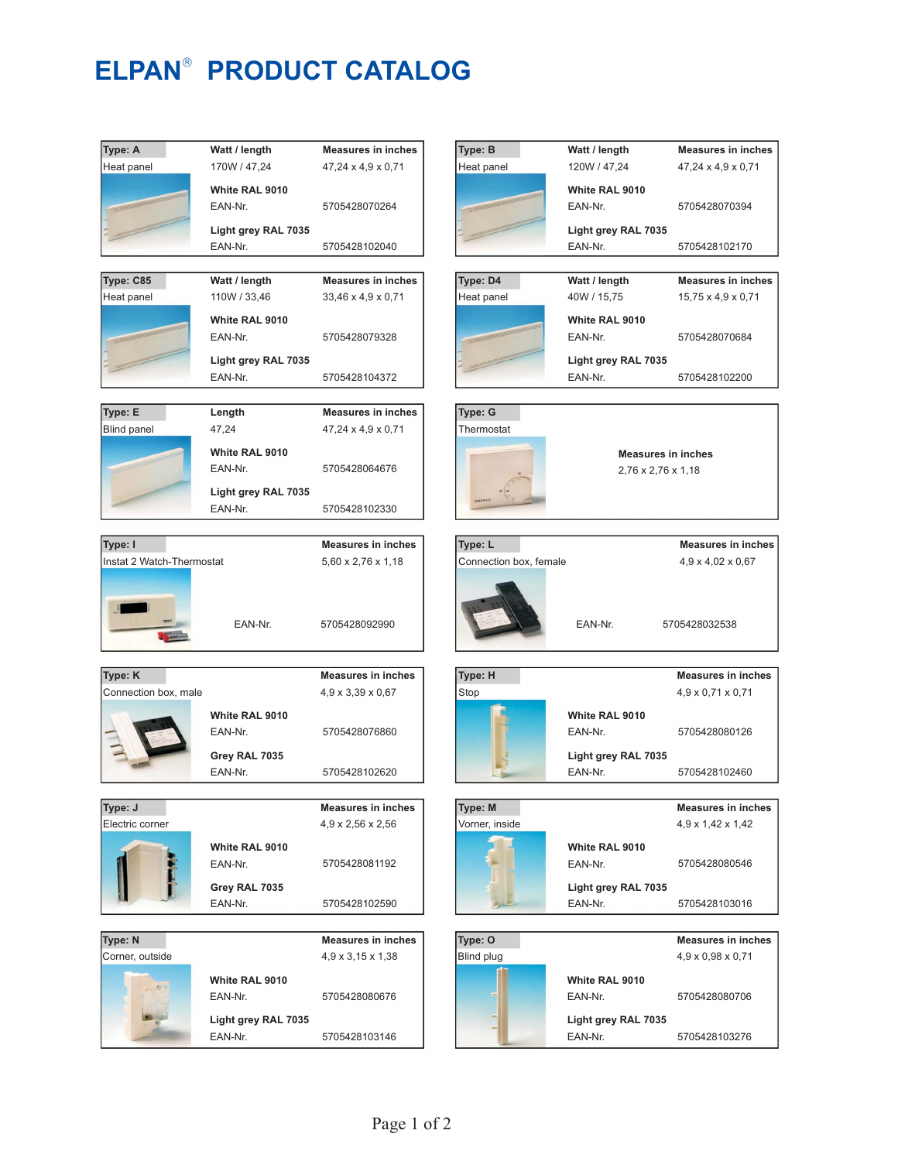## **ELPAN<sup>®</sup> PRODUCT CATALOG**

| Type: A                   | Watt / length                  | <b>Measures in inches</b>                      | Type: B                   | Watt / length             | <b>Measures in</b>                               |
|---------------------------|--------------------------------|------------------------------------------------|---------------------------|---------------------------|--------------------------------------------------|
| Heat panel                | 170W / 47,24                   | $47,24 \times 4,9 \times 0,71$                 | Heat panel                | 120W / 47,24              | $47,24 \times 4,9 \times$                        |
|                           | White RAL 9010                 |                                                |                           | White RAL 9010            |                                                  |
|                           | EAN-Nr.                        | 5705428070264                                  |                           | EAN-Nr.                   | 57054280703                                      |
|                           | Light grey RAL 7035            |                                                |                           | Light grey RAL 7035       |                                                  |
|                           | EAN-Nr.                        | 5705428102040                                  |                           | EAN-Nr.                   | 57054281021                                      |
|                           |                                |                                                |                           |                           |                                                  |
| Type: C85                 | Watt / length                  | <b>Measures in inches</b>                      | Type: D4                  | Watt / length             | <b>Measures in</b>                               |
| Heat panel                | 110W / 33,46                   | 33,46 x 4,9 x 0,71                             | Heat panel                | 40W / 15,75               | $15.75 \times 4.9 \times$                        |
|                           |                                |                                                |                           |                           |                                                  |
|                           | White RAL 9010                 |                                                |                           | White RAL 9010            |                                                  |
|                           | EAN-Nr.                        | 5705428079328                                  |                           | EAN-Nr.                   | 57054280706                                      |
|                           | Light grey RAL 7035            |                                                |                           | Light grey RAL 7035       |                                                  |
|                           | EAN-Nr.                        | 5705428104372                                  |                           | EAN-Nr.                   | 57054281022                                      |
|                           |                                |                                                |                           |                           |                                                  |
| Type: E                   | Length                         | <b>Measures in inches</b>                      | Type: G                   |                           |                                                  |
| <b>Blind panel</b>        | 47,24                          | $47,24 \times 4,9 \times 0,71$                 | Thermostat                |                           |                                                  |
|                           | White RAL 9010                 |                                                |                           | <b>Measures in inches</b> |                                                  |
|                           | EAN-Nr.                        | 5705428064676                                  |                           | 2,76 x 2,76 x 1,18        |                                                  |
|                           |                                |                                                |                           |                           |                                                  |
|                           | Light grey RAL 7035<br>EAN-Nr. | 5705428102330                                  |                           |                           |                                                  |
|                           |                                |                                                |                           |                           |                                                  |
| Type: I                   |                                | <b>Measures in inches</b>                      | Type: L                   |                           | <b>Measures</b> in                               |
| Instat 2 Watch-Thermostat |                                | $5,60 \times 2,76 \times 1,18$                 | Connection box, female    |                           | $4,9 \times 4,02 \times 0$                       |
|                           |                                |                                                |                           |                           |                                                  |
|                           |                                |                                                |                           |                           |                                                  |
|                           |                                |                                                |                           |                           |                                                  |
|                           | EAN-Nr.                        | 5705428092990                                  |                           | EAN-Nr.                   | 5705428032538                                    |
|                           |                                |                                                |                           |                           |                                                  |
|                           |                                |                                                |                           |                           |                                                  |
| Type: K                   |                                | <b>Measures in inches</b>                      | Type: H                   |                           | <b>Measures in</b>                               |
| Connection box, male      |                                | 4,9 x 3,39 x 0,67                              | Stop                      |                           | $4,9 \times 0,71 \times 0$                       |
|                           | White RAL 9010                 |                                                |                           | White RAL 9010            |                                                  |
|                           | EAN-Nr.                        | 5705428076860                                  |                           | EAN-Nr.                   | 57054280801                                      |
|                           |                                |                                                |                           |                           |                                                  |
|                           | Grey RAL 7035                  |                                                |                           | Light grey RAL 7035       |                                                  |
|                           | EAN-Nr.                        | 5705428102620                                  |                           | EAN-Nr.                   | 57054281024                                      |
| Type: J                   |                                |                                                |                           |                           |                                                  |
| Electric corner           |                                | <b>Measures in inches</b><br>4,9 x 2,56 x 2,56 | Type: M<br>Vorner, inside |                           | <b>Measures in</b><br>$4,9 \times 1,42 \times 1$ |
|                           |                                |                                                |                           |                           |                                                  |
|                           | White RAL 9010                 |                                                |                           | White RAL 9010            |                                                  |
|                           | EAN-Nr.                        | 5705428081192                                  |                           | EAN-Nr.                   | 57054280805                                      |
|                           | Grey RAL 7035                  |                                                |                           | Light grey RAL 7035       |                                                  |
|                           | EAN-Nr.                        | 5705428102590                                  |                           | EAN-Nr.                   | 57054281030                                      |
|                           |                                |                                                |                           |                           |                                                  |
| Type: N                   |                                | <b>Measures in inches</b>                      | Type: O                   |                           | <b>Measures in</b>                               |
| Corner, outside           |                                | 4,9 x 3,15 x 1,38                              | Blind plug                |                           | $4,9 \times 0,98 \times 0$                       |
|                           |                                |                                                |                           |                           |                                                  |
|                           | White RAL 9010<br>EAN-Nr.      |                                                |                           | White RAL 9010<br>EAN-Nr. |                                                  |
|                           |                                | 5705428080676                                  |                           |                           | 57054280807                                      |
|                           | Light grey RAL 7035            |                                                |                           | Light grey RAL 7035       |                                                  |
|                           | EAN-Nr.                        | 5705428103146                                  |                           | EAN-Nr.                   | 57054281032                                      |

5705428070394

**Measures in inches** 47,24 x 4,9 x 0,71

5705428102170

5705428070684

**Measures in inches** 15,75 x 4,9 x 0,71

5705428102200

5705428080126

**Measures in inches** 4,9 x 0,71 x 0,71

**Measures in inches** 4,9 x 4,02 x 0,67

5705428102460

5705428080546

**Measures in inches** 4,9 x 1,42 x 1,42

5705428103016

5705428080706

**Measures in inches** 4,9 x 0,98 x 0,71

5705428103276